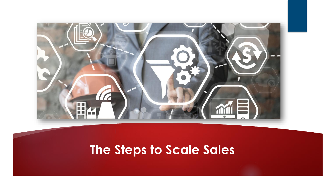

## **The Steps to Scale Sales**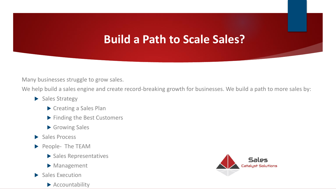## **Build a Path to Scale Sales?**

Many businesses struggle to grow sales.

We help build a sales engine and create record-breaking growth for businesses. We build a path to more sales by:

- Sales Strategy
	- Creating a Sales Plan
	- **Finding the Best Customers**
	- Growing Sales
- Sales Process
- People- The TEAM
	- Sales Representatives
	- Management
- $\blacktriangleright$  Sales Execution
	- Accountability

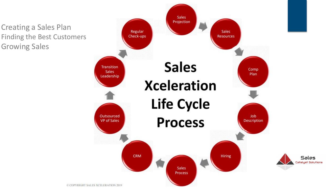Creating a Sales Plan Finding the Best Customers Growing Sales

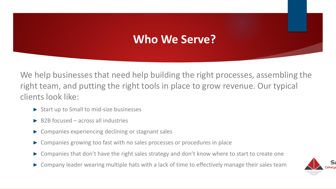## **Who We Serve?**

We help businesses that need help building the right processes, assembling the right team, and putting the right tools in place to grow revenue. Our typical clients look like:

- ► Start up to Small to mid-size businesses
- $\blacktriangleright$  B2B focused across all industries
- ► Companies experiencing declining or stagnant sales
- ► Companies growing too fast with no sales processes or procedures in place
- ► Companies that don't have the right sales strategy and don't know where to start to create one
- ► Company leader wearing multiple hats with a lack of time to effectively manage their sales team